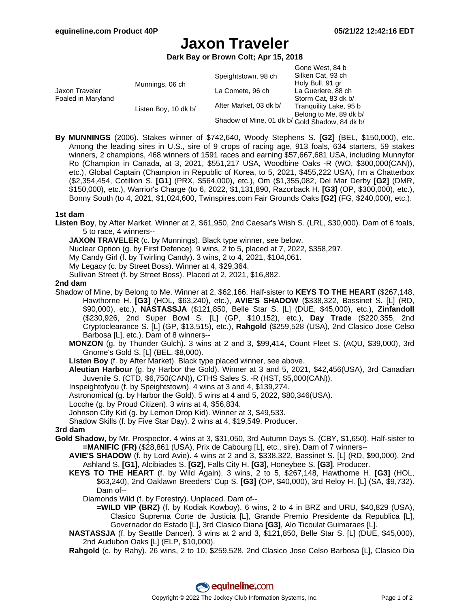# **Jaxon Traveler**

**Dark Bay or Brown Colt; Apr 15, 2018**

|                                      |                      |                                                | Gone West, 84 b        |
|--------------------------------------|----------------------|------------------------------------------------|------------------------|
| Jaxon Traveler<br>Foaled in Maryland | Munnings, 06 ch      | Speightstown, 98 ch                            | Silken Cat, 93 ch      |
|                                      |                      |                                                | Holy Bull, 91 gr       |
|                                      |                      | La Comete, 96 ch                               | La Gueriere, 88 ch     |
|                                      |                      |                                                | Storm Cat, 83 dk b/    |
|                                      | Listen Boy, 10 dk b/ | After Market, 03 dk b/                         | Tranguility Lake, 95 b |
|                                      |                      |                                                | Belong to Me, 89 dk b/ |
|                                      |                      | Shadow of Mine, 01 dk b/ Gold Shadow, 84 dk b/ |                        |

**By MUNNINGS** (2006). Stakes winner of \$742,640, Woody Stephens S. **[G2]** (BEL, \$150,000), etc. Among the leading sires in U.S., sire of 9 crops of racing age, 913 foals, 634 starters, 59 stakes winners, 2 champions, 468 winners of 1591 races and earning \$57,667,681 USA, including Munnyfor Ro (Champion in Canada, at 3, 2021, \$551,217 USA, Woodbine Oaks -R (WO, \$300,000(CAN)), etc.), Global Captain (Champion in Republic of Korea, to 5, 2021, \$455,222 USA), I'm a Chatterbox (\$2,354,454, Cotillion S. **[G1]** (PRX, \$564,000), etc.), Om (\$1,355,082, Del Mar Derby **[G2]** (DMR, \$150,000), etc.), Warrior's Charge (to 6, 2022, \$1,131,890, Razorback H. **[G3]** (OP, \$300,000), etc.), Bonny South (to 4, 2021, \$1,024,600, Twinspires.com Fair Grounds Oaks **[G2]** (FG, \$240,000), etc.).

#### **1st dam**

**Listen Boy**, by After Market. Winner at 2, \$61,950, 2nd Caesar's Wish S. (LRL, \$30,000). Dam of 6 foals, 5 to race, 4 winners--

**JAXON TRAVELER** (c. by Munnings). Black type winner, see below.

Nuclear Option (g. by First Defence). 9 wins, 2 to 5, placed at 7, 2022, \$358,297.

My Candy Girl (f. by Twirling Candy). 3 wins, 2 to 4, 2021, \$104,061.

My Legacy (c. by Street Boss). Winner at 4, \$29,364.

Sullivan Street (f. by Street Boss). Placed at 2, 2021, \$16,882.

#### **2nd dam**

- Shadow of Mine, by Belong to Me. Winner at 2, \$62,166. Half-sister to **KEYS TO THE HEART** (\$267,148, Hawthorne H. **[G3]** (HOL, \$63,240), etc.), **AVIE'S SHADOW** (\$338,322, Bassinet S. [L] (RD, \$90,000), etc.), **NASTASSJA** (\$121,850, Belle Star S. [L] (DUE, \$45,000), etc.), **Zinfandoll** (\$230,926, 2nd Super Bowl S. [L] (GP, \$10,152), etc.), **Day Trade** (\$220,355, 2nd Cryptoclearance S. [L] (GP, \$13,515), etc.), **Rahgold** (\$259,528 (USA), 2nd Clasico Jose Celso Barbosa [L], etc.). Dam of 8 winners--
	- **MONZON** (g. by Thunder Gulch). 3 wins at 2 and 3, \$99,414, Count Fleet S. (AQU, \$39,000), 3rd Gnome's Gold S. [L] (BEL, \$8,000).
	- **Listen Boy** (f. by After Market). Black type placed winner, see above.
	- **Aleutian Harbour** (g. by Harbor the Gold). Winner at 3 and 5, 2021, \$42,456(USA), 3rd Canadian Juvenile S. (CTD, \$6,750(CAN)), CTHS Sales S. -R (HST, \$5,000(CAN)).
	- Inspeightofyou (f. by Speightstown). 4 wins at 3 and 4, \$139,274.
	- Astronomical (g. by Harbor the Gold). 5 wins at 4 and 5, 2022, \$80,346(USA).
	- Locche (g. by Proud Citizen). 3 wins at 4, \$56,834.
	- Johnson City Kid (g. by Lemon Drop Kid). Winner at 3, \$49,533.
	- Shadow Skills (f. by Five Star Day). 2 wins at 4, \$19,549. Producer.

### **3rd dam**

- **Gold Shadow**, by Mr. Prospector. 4 wins at 3, \$31,050, 3rd Autumn Days S. (CBY, \$1,650). Half-sister to **=MANIFIC (FR)** (\$28,861 (USA), Prix de Cabourg [L], etc., sire). Dam of 7 winners--
	- **AVIE'S SHADOW** (f. by Lord Avie). 4 wins at 2 and 3, \$338,322, Bassinet S. [L] (RD, \$90,000), 2nd Ashland S. **[G1]**, Alcibiades S. **[G2]**, Falls City H. **[G3]**, Honeybee S. **[G3]**. Producer.
	- **KEYS TO THE HEART** (f. by Wild Again). 3 wins, 2 to 5, \$267,148, Hawthorne H. **[G3]** (HOL, \$63,240), 2nd Oaklawn Breeders' Cup S. **[G3]** (OP, \$40,000), 3rd Reloy H. [L] (SA, \$9,732). Dam of--
		- Diamonds Wild (f. by Forestry). Unplaced. Dam of--
			- **=WILD VIP (BRZ)** (f. by Kodiak Kowboy). 6 wins, 2 to 4 in BRZ and URU, \$40,829 (USA), Clasico Suprema Corte de Justicia [L], Grande Premio Presidente da Republica [L], Governador do Estado [L], 3rd Clasico Diana **[G3]**, Alo Ticoulat Guimaraes [L].
	- **NASTASSJA** (f. by Seattle Dancer). 3 wins at 2 and 3, \$121,850, Belle Star S. [L] (DUE, \$45,000), 2nd Audubon Oaks [L] (ELP, \$10,000).

**Rahgold** (c. by Rahy). 26 wins, 2 to 10, \$259,528, 2nd Clasico Jose Celso Barbosa [L], Clasico Dia